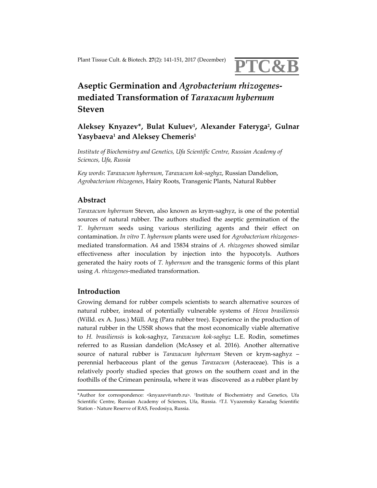# Plant Tissue Cult. & Biotech. **<sup>27</sup>**(2): <sup>141</sup>‐151, <sup>2017</sup> (December) **PTC&B**

# **Aseptic Germination and** *Agrobacterium rhizogenes***‐ mediated Transformation of** *Taraxacum hybernum* **Steven**

**Aleksey Knyazev\*, Bulat Kuluev1, Alexander Fateryga2, Gulnar Yasybaeva1 and Aleksey Chemeris1**

*Institute of Biochemistry and Genetics, Ufa Scientific Centre, Russian Academy of Sciences, Ufa, Russia*

*Key words*: *Taraxacum hybernum*, *Taraxacum kok‐saghyz*, Russian Dandelion, *Agrobacterium rhizogenes*, Hairy Roots, Transgenic Plants, Natural Rubber

# **Abstract**

*Taraxacum hybernum* Steven, also known as krym‐saghyz, is one of the potential sources of natural rubber. The authors studied the aseptic germination of the *T. hybernum* seeds using various sterilizing agents and their effect on contamination. *In vitro T. hybernum* plants were used for *Agrobacterium rhizogenes*‐ mediated transformation. A4 and 15834 strains of *A. rhizogenes* showed similar effectiveness after inoculation by injection into the hypocotyls. Authors generated the hairy roots of *T. hybernum* and the transgenic forms of this plant using *A. rhizogenes*‐mediated transformation.

### **Introduction**

Growing demand for rubber compels scientists to search alternative sources of natural rubber, instead of potentially vulnerable systems of *Hevea brasiliensis* (Willd. ex A. Juss.) Müll. Arg (Para rubber tree). Experience in the production of natural rubber in the USSR shows that the most economically viable alternative to *H. brasiliensis* is kok‐saghyz, *Taraxacum kok‐saghyz* L.E. Rodin, sometimes referred to as Russian dandelion (McAssey et al. 2016). Another alternative source of natural rubber is *Taraxacum hybernum* Steven or krym-saghyz – perennial herbaceous plant of the genus *Taraxacum* (Asteraceae). This is a relatively poorly studied species that grows on the southern coast and in the foothills of the Crimean peninsula, where it was discovered as a rubber plant by

<sup>\*</sup>Author for correspondence: <knyazev@anrb.ru>. 1Institute of Biochemistry and Genetics, Ufa Scientific Centre, Russian Academy of Sciences, Ufa, Russia. 2T.I. Vyazemsky Karadag Scientific Station ‐ Nature Reserve of RAS, Feodosiya, Russia.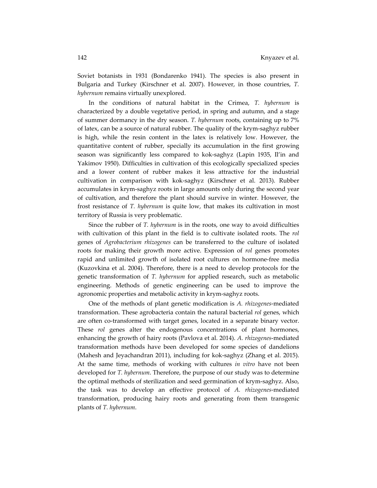Soviet botanists in 1931 (Bondarenko 1941). The species is also present in Bulgaria and Turkey (Kirschner et al. 2007). However, in those countries, *T. hybernum* remains virtually unexplored.

In the conditions of natural habitat in the Crimea, *T. hybernum* is characterized by a double vegetative period, in spring and autumn, and a stage of summer dormancy in the dry season. *T. hybernum* roots, containing up to 7% of latex, can be a source of natural rubber. The quality of the krym‐saghyz rubber is high, while the resin content in the latex is relatively low. However, the quantitative content of rubber, specially its accumulation in the first growing season was significantly less compared to kok‐saghyz (Lapin 1935, Il'in and Yakimov 1950). Difficulties in cultivation of this ecologically specialized species and a lower content of rubber makes it less attractive for the industrial cultivation in comparison with kok‐saghyz (Kirschner et al. 2013). Rubber accumulates in krym‐saghyz roots in large amounts only during the second year of cultivation, and therefore the plant should survive in winter. However, the frost resistance of *T. hybernum* is quite low, that makes its cultivation in most territory of Russia is very problematic.

Since the rubber of *T. hybernum* is in the roots, one way to avoid difficulties with cultivation of this plant in the field is to cultivate isolated roots. The *rol* genes of *Agrobacterium rhizogenes* can be transferred to the culture of isolated roots for making their growth more active. Expression of *rol* genes promotes rapid and unlimited growth of isolated root cultures on hormone‐free media (Kuzovkina et al. 2004). Therefore, there is a need to develop protocols for the genetic transformation of *T. hybernum* for applied research, such as metabolic engineering. Methods of genetic engineering can be used to improve the agronomic properties and metabolic activity in krym‐saghyz roots.

One of the methods of plant genetic modification is *A. rhizogenes*‐mediated transformation. These agrobacteria contain the natural bacterial *rol* genes, which are often co-transformed with target genes, located in a separate binary vector. These *rol* genes alter the endogenous concentrations of plant hormones, enhancing the growth of hairy roots (Pavlova et al. 2014). *A. rhizogenes*‐mediated transformation methods have been developed for some species of dandelions (Mahesh and Jeyachandran 2011), including for kok‐saghyz (Zhang et al. 2015). At the same time, methods of working with cultures *in vitro* have not been developed for *T. hybernum*. Therefore, the purpose of our study was to determine the optimal methods of sterilization and seed germination of krym‐saghyz. Also, the task was to develop an effective protocol of *A. rhizogenes*‐mediated transformation, producing hairy roots and generating from them transgenic plants of *T. hybernum*.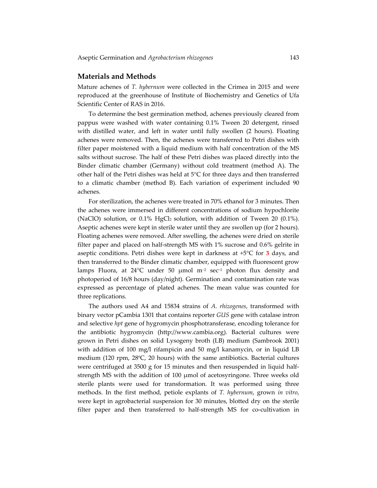#### **Materials and Methods**

Mature achenes of *T. hybernum* were collected in the Crimea in 2015 and were reproduced at the greenhouse of Institute of Biochemistry and Genetics of Ufa Scientific Center of RAS in 2016.

To determine the best germination method, achenes previously cleared from pappus were washed with water containing 0.1% Tween 20 detergent, rinsed with distilled water, and left in water until fully swollen (2 hours). Floating achenes were removed. Then, the achenes were transferred to Petri dishes with filter paper moistened with a liquid medium with half concentration of the MS salts without sucrose. The half of these Petri dishes was placed directly into the Binder climatic chamber (Germany) without cold treatment (method A). The other half of the Petri dishes was held at 5°C for three days and then transferred to a climatic chamber (method B). Each variation of experiment included 90 achenes.

For sterilization, the achenes were treated in 70% ethanol for 3 minutes. Then the achenes were immersed in different concentrations of sodium hypochlorite (NaClO) solution, or 0.1% HgCl2 solution, with addition of Tween 20 (0.1%). Aseptic achenes were kept in sterile water until they are swollen up (for 2 hours). Floating achenes were removed. After swelling, the achenes were dried on sterile filter paper and placed on half-strength MS with 1% sucrose and 0.6% gelrite in aseptic conditions. Petri dishes were kept in darkness at +5°С for **3** days, and then transferred to the Binder climatic chamber, equipped with fluorescent grow lamps Fluora, at 24°C under 50 μmol m<sup>-2</sup> sec<sup>-1</sup> photon flux density and photoperiod of 16/8 hours (day/night). Germination and contamination rate was expressed as percentage of plated achenes. The mean value was counted for three replications.

The authors used A4 and 15834 strains of *A. rhizogenes*, transformed with binary vector рCambia 1301 that contains reporter *GUS* gene with catalase intron and selective *hpt* gene of hygromycin phosphotransferase, encoding tolerance for the antibiotic hygromycin (http://www.cambia.org). Bacterial cultures were grown in Petri dishes on solid Lysogeny broth (LB) medium (Sambrook 2001) with addition of 100 mg/l rifampicin and 50 mg/l kanamycin, or in liquid LB medium (120 rpm, 28ºС, 20 hours) with the same antibiotics. Bacterial cultures were centrifuged at 3500 g for 15 minutes and then resuspended in liquid halfstrength MS with the addition of 100 μmol of acetosyringone. Three weeks old sterile plants were used for transformation. It was performed using three methods. In the first method, petiole explants of *T. hybernum*, grown *in vitro*, were kept in agrobacterial suspension for 30 minutes, blotted dry on the sterile filter paper and then transferred to half-strength MS for co-cultivation in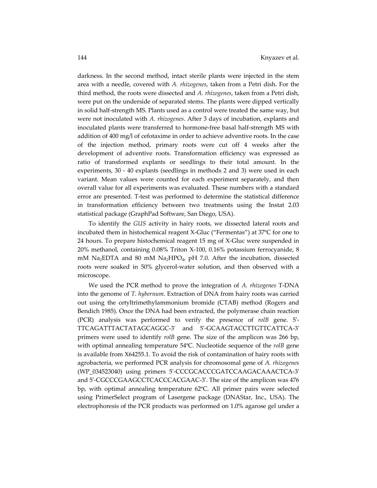darkness. In the second method, intact sterile plants were injected in the stem area with a needle, covered with *A. rhizogenes*, taken from a Petri dish. For the third method, the roots were dissected and *A. rhizogenes*, taken from a Petri dish, were put on the underside of separated stems. The plants were dipped vertically in solid half‐strength MS. Plants used as a control were treated the same way, but were not inoculated with *A. rhizogenes*. After 3 days of incubation, explants and inoculated plants were transferred to hormone‐free basal half‐strength MS with addition of 400 mg/l of cefotaxime in order to achieve adventive roots. In the case of the injection method, primary roots were cut off 4 weeks after the development of adventive roots. Transformation efficiency was expressed as ratio of transformed explants or seedlings to their total amount. In the experiments, 30 - 40 explants (seedlings in methods 2 and 3) were used in each variant. Mean values were counted for each experiment separately, and then overall value for all experiments was evaluated. These numbers with a standard error are presented. T-test was performed to determine the statistical difference in transformation efficiency between two treatments using the Instat 2.03 statistical package (GraphPad Software, San Diego, USA).

To identify the *GUS* activity in hairy roots, we dissected lateral roots and incubated them in histochemical reagent X‐Gluc ("Fermentas") at 37ºС for one to 24 hours. To prepare histochemical reagent 15 mg of X‐Gluc were suspended in 20% methanol, containing 0.08% Triton X‐100, 0.16% potassium ferrocyanide, 8 mM Na<sub>2</sub>EDTA and 80 mM Na<sub>2</sub>HPO<sub>4</sub>, pH 7.0. After the incubation, dissected roots were soaked in 50% glycerol-water solution, and then observed with a microscope.

We used the PCR method to prove the integration of *A. rhizogenes* T‐DNA into the genome of *T. hybernum*. Extraction of DNA from hairy roots was carried out using the cetyltrimethylammonium bromide (CTAB) method (Rogers and Bendich 1985). Once the DNA had been extracted, the polymerase chain reaction (PCR) analysis was performed to verify the presence of *rolB* gene. 5ʹ‐ TTCAGATTTACTATAGCAGGC‐3ʹ and 5ʹ‐GCAAGTACCTTGTTCATTCA‐3ʹ primers were used to identify *rolB* gene. The size of the amplicon was 266 bp, with optimal annealing temperature 54ºС. Nucleotide sequence of the *rolB* gene is available from X64255.1. To avoid the risk of contamination of hairy roots with agrobacteria, we performed PCR analysis for chromosomal gene of *A. rhizogenes* (WP\_034523040) using primers 5ʹ‐CCCGCACCCGATCCAAGACAAACTCA‐3ʹ and 5ʹ‐CGCCCGAAGCCTCACCCACGAAC‐3ʹ. The size of the amplicon was 476 bp, with optimal annealing temperature 62ºС. All primer pairs were selected using PrimerSelect program of Lasergene package (DNAStar, Inc., USA). The electrophoresis of the PCR products was performed on 1.0% agarose gel under a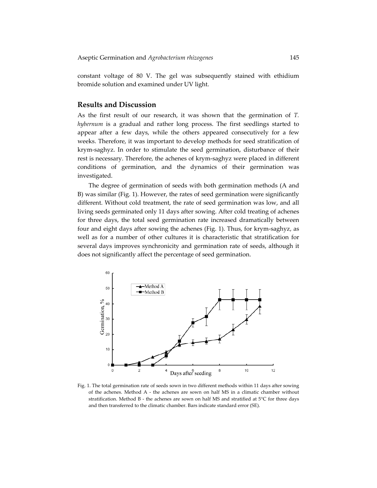constant voltage of 80 V. The gel was subsequently stained with ethidium bromide solution and examined under UV light.

## **Results and Discussion**

As the first result of our research, it was shown that the germination of *T. hybernum* is a gradual and rather long process. The first seedlings started to appear after a few days, while the others appeared consecutively for a few weeks. Therefore, it was important to develop methods for seed stratification of krym‐saghyz. In order to stimulate the seed germination, disturbance of their rest is necessary. Therefore, the achenes of krym-saghyz were placed in different conditions of germination, and the dynamics of their germination was investigated.

The degree of germination of seeds with both germination methods (A and B) was similar (Fig. 1). However, the rates of seed germination were significantly different. Without cold treatment, the rate of seed germination was low, and all living seeds germinated only 11 days after sowing. After cold treating of achenes for three days, the total seed germination rate increased dramatically between four and eight days after sowing the achenes (Fig. 1). Thus, for krym‐saghyz, as well as for a number of other cultures it is characteristic that stratification for several days improves synchronicity and germination rate of seeds, although it does not significantly affect the percentage of seed germination.



Fig. 1. The total germination rate of seeds sown in two different methods within 11 days after sowing of the achenes. Method A ‐ the achenes are sown on half MS in a climatic chamber without stratification. Method B - the achenes are sown on half MS and stratified at 5°C for three days and then transferred to the climatic chamber. Bars indicate standard error (SE).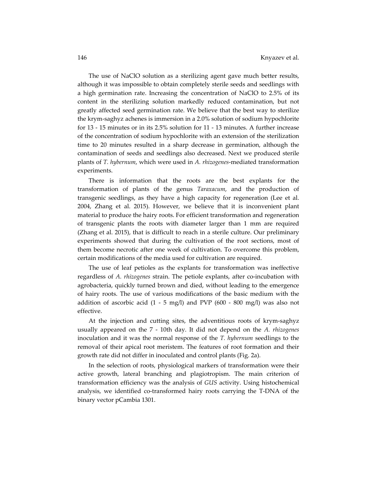The use of NaClO solution as a sterilizing agent gave much better results, although it was impossible to obtain completely sterile seeds and seedlings with a high germination rate. Increasing the concentration of NaClO to 2.5% of its content in the sterilizing solution markedly reduced contamination, but not greatly affected seed germination rate. We believe that the best way to sterilize the krym‐saghyz achenes is immersion in a 2.0% solution of sodium hypochlorite for 13 ‐ 15 minutes or in its 2.5% solution for 11 ‐ 13 minutes. A further increase of the concentration of sodium hypochlorite with an extension of the sterilization time to 20 minutes resulted in a sharp decrease in germination, although the contamination of seeds and seedlings also decreased. Next we produced sterile plants of *T. hybernum*, which were used in *A. rhizogenes*‐mediated transformation experiments.

There is information that the roots are the best explants for the transformation of plants of the genus *Taraxacum*, and the production of transgenic seedlings, as they have a high capacity for regeneration (Lee et al. 2004, Zhang et al. 2015). However, we believe that it is inconvenient plant material to produce the hairy roots. For efficient transformation and regeneration of transgenic plants the roots with diameter larger than 1 mm are required (Zhang et al. 2015), that is difficult to reach in a sterile culture. Our preliminary experiments showed that during the cultivation of the root sections, most of them become necrotic after one week of cultivation. To overcome this problem, certain modifications of the media used for cultivation are required.

The use of leaf petioles as the explants for transformation was ineffective regardless of *A. rhizogenes* strain. The petiole explants, after co‐incubation with agrobacteria, quickly turned brown and died, without leading to the emergence of hairy roots. The use of various modifications of the basic medium with the addition of ascorbic acid  $(1 - 5 \text{ mg/l})$  and PVP  $(600 - 800 \text{ mg/l})$  was also not effective.

At the injection and cutting sites, the adventitious roots of krym-saghyz usually appeared on the 7 ‐ 10th day. It did not depend on the *A. rhizogenes* inoculation and it was the normal response of the *T. hybernum* seedlings to the removal of their apical root meristem. The features of root formation and their growth rate did not differ in inoculated and control plants (Fig. 2а).

In the selection of roots, physiological markers of transformation were their active growth, lateral branching and plagiotropism. The main criterion of transformation efficiency was the analysis of *GUS* activity. Using histochemical analysis, we identified co-transformed hairy roots carrying the T-DNA of the binary vector pCambia 1301.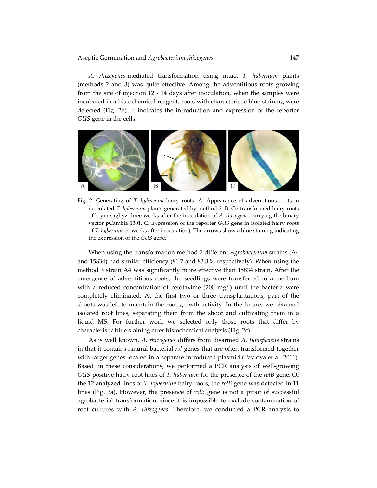*A. rhizogenes*‐mediated transformation using intact *T. hybernum* plants (methods 2 and 3) was quite effective. Among the adventitious roots growing from the site of injection 12 - 14 days after inoculation, when the samples were incubated in a histochemical reagent, roots with characteristic blue staining were detected (Fig. 2b). It indicates the introduction and expression of the reporter *GUS* gene in the cells.



Fig. 2. Generating of *T. hybernum* hairy roots. A. Appearance of adventitious roots in inoculated *T. hybernum* plants generated by method 2. B. Co-transformed hairy roots of krym‐saghyz three weeks after the inoculation of *A. rhizogenes* carrying the binary vector pCambia 1301. C. Expression of the reporter *GUS* gene in isolated hairy roots of *T. hybernum* (4 weeks after inoculation). The arrows show a blue staining indicating the expression of the *GUS* gene.

When using the transformation method 2 different *Agrobacterium* strains (A4 and 15834) had similar efficiency (81.7 and 83.3%, respectively). When using the method 3 strain A4 was significantly more effective than 15834 strain. After the emergence of adventitious roots, the seedlings were transferred to a medium with a reduced concentration of cefotaxime (200 mg/l) until the bacteria were completely eliminated. At the first two or three transplantations, part of the shoots was left to maintain the root growth activity. In the future, we obtained isolated root lines, separating them from the shoot and cultivating them in a liquid MS. For further work we selected only those roots that differ by characteristic blue staining after histochemical analysis (Fig. 2c).

As is well known, *A. rhizogenes* differs from disarmed *A. tumefaciens* strains in that it contains natural bacterial *rol* genes that are often transformed together with target genes located in a separate introduced plasmid (Pavlova et al. 2011). Based on these considerations, we performed a PCR analysis of well‐growing *GUS*‐positive hairy root lines of *T. hybernum* for the presence of the *rolB* gene. Of the 12 analyzed lines of *T. hybernum* hairy roots, the *rolB* gene was detected in 11 lines (Fig. 3а). However, the presence of *rolB* gene is not a proof of successful agrobacterial transformation, since it is impossible to exclude contamination of root cultures with *A. rhizogenes*. Therefore, we conducted a PCR analysis to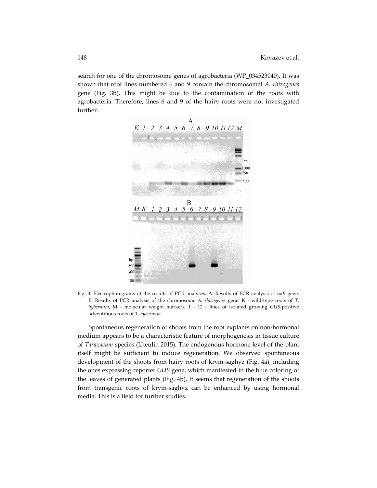search for one of the chromosome genes of agrobacteria (WP\_034523040). It was shown that root lines numbered 6 and 9 contain the chromosomal *A. rhizogenes* gene (Fig. 3b). This might be due to the contamination of the roots with agrobacteria. Therefore, lines 6 and 9 of the hairy roots were not investigated further.



Fig. 3. Electrophoregrams of the results of PCR analyses. A. Results of PCR analysis of *rolB* gene. B. Results of PCR analysis of the chromosome *A. rhizogenes* gene. K ‐ wild‐type roots of *T. hybernum*, M ‐ molecular weight markers, 1 ‐ 12 ‐ lines of isolated growing *GUS*‐positive adventitious roots of *T. hybernum*.

Spontaneous regeneration of shoots from the root explants on non‐hormonal medium appears to be a characteristic feature of morphogenesis in tissue culture of *Taraxacum* species (Uteulin 2015). The endogenous hormone level of the plant itself might be sufficient to induce regeneration. We observed spontaneous development of the shoots from hairy roots of krym‐saghyz (Fig. 4a), including the ones expressing reporter *GUS* gene, which manifested in the blue coloring of the leaves of generated plants (Fig. 4b). It seems that regeneration of the shoots from transgenic roots of krym‐saghyz can be enhanced by using hormonal media. This is a field for further studies.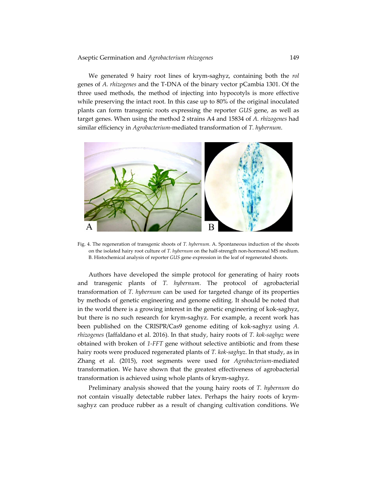We generated 9 hairy root lines of krym‐saghyz, containing both the *rol* genes of *A. rhizogenes* and the T‐DNA of the binary vector pCambia 1301. Of the three used methods, the method of injecting into hypocotyls is more effective while preserving the intact root. In this case up to 80% of the original inoculated plants can form transgenic roots expressing the reporter *GUS* gene, as well as target genes. When using the method 2 strains A4 and 15834 of *A. rhizogenes* had similar efficiency in *Agrobacterium*‐mediated transformation of *T. hybernum*.



Fig. 4. The regeneration of transgenic shoots of *T. hybernum*. A. Spontaneous induction of the shoots on the isolated hairy root culture of *T. hybernum* on the half‐strength non‐hormonal MS medium. B. Histochemical analysis of reporter *GUS* gene expression in the leaf of regenerated shoots.

Authors have developed the simple protocol for generating of hairy roots and transgenic plants of *T. hybernum*. The protocol of agrobacterial transformation of *T. hybernum* can be used for targeted change of its properties by methods of genetic engineering and genome editing. It should be noted that in the world there is a growing interest in the genetic engineering of kok‐saghyz, but there is no such research for krym‐saghyz. For example, a recent work has been published on the CRISPR/Cas9 genome editing of kok‐saghyz using *A. rhizogenes* (Iaffaldano et al. 2016). In that study, hairy roots of *T. kok‐saghyz* were obtained with broken of *1‐FFT* gene without selective antibiotic and from these hairy roots were produced regenerated plants of *T. kok‐saghyz*. In that study, as in Zhang et al. (2015), root segments were used for *Agrobacterium*‐mediated transformation. We have shown that the greatest effectiveness of agrobacterial transformation is achieved using whole plants of krym‐saghyz.

Preliminary analysis showed that the young hairy roots of *T. hybernum* do not contain visually detectable rubber latex. Perhaps the hairy roots of krymsaghyz can produce rubber as a result of changing cultivation conditions. We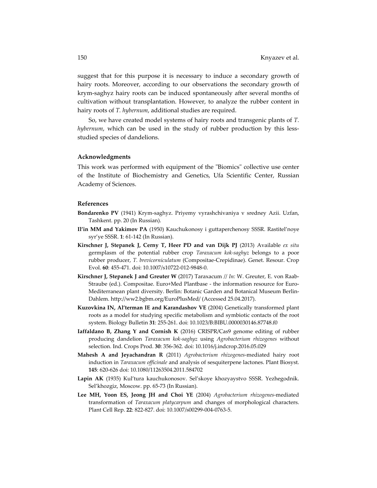suggest that for this purpose it is necessary to induce a secondary growth of hairy roots. Moreover, according to our observations the secondary growth of krym‐saghyz hairy roots can be induced spontaneously after several months of cultivation without transplantation. However, to analyze the rubber content in hairy roots of *T. hybernum*, additional studies are required.

So, we have created model systems of hairy roots and transgenic plants of *T. hybernum*, which can be used in the study of rubber production by this lessstudied species of dandelions.

#### **Acknowledgments**

This work was performed with equipment of the "Biomics" collective use center of the Institute of Biochemistry and Genetics, Ufa Scientific Center, Russian Academy of Sciences.

#### **References**

- **Bondarenko PV** (1941) Krym‐saghyz. Priyemy vyrashchivaniya v sredney Azii. Uzfan, Tashkent. pp. 20 (In Russian).
- **Il'in MM and Yakimov PA** (1950) Kauchukonosy i guttaperchenosy SSSR. Rastitel'noye syr'ye SSSR. **1**: 61‐142 (In Russian).
- **Kirschner J, Stepanek J, Cerny T, Heer PD and van Dijk PJ** (2013) Available *ex situ* germplasm of the potential rubber crop *Taraxacum kok‐saghyz* belongs to a poor rubber producer, *T. brevicorniculatum* (Compositae‐Crepidinae). Genet. Resour. Crop Evol. **60**: 455‐471. doi: 10.1007/s10722‐012‐9848‐0.
- **Kirschner J, Stepanek J and Greuter W** (2017) Taraxacum // *In:* W. Greuter, E. von Raab‐ Straube (ed.). Compositae. Euro+Med Plantbase ‐ the information resource for Euro‐ Mediterranean plant diversity. Berlin: Botanic Garden and Botanical Museum Berlin‐ Dahlem. http://ww2.bgbm.org/EuroPlusMed/ (Accessed 25.04.2017).
- **Kuzovkina IN, Al'terman IE and Karandashov VE** (2004) Genetically transformed plant roots as a model for studying specific metabolism and symbiotic contacts of the root system. Biology Bulletin **31**: 255‐261. doi: 10.1023/B:BIBU.0000030146.87748.f0
- **Iaffaldano B, Zhang Y and Cornish K** (2016) CRISPR/Cas9 genome editing of rubber producing dandelion *Taraxacum kok‐saghyz* using *Agrobacterium rhizogenes* without selection. Ind. Crops Prod. **30**: 356‐362. doi: 10.1016/j.indcrop.2016.05.029
- **Mahesh A and Jeyachandran R** (2011) *Agrobacterium rhizogenes*‐mediated hairy root induction in *Taraxacum officinale* and analysis of sesquiterpene lactones. Plant Biosyst. **145**: 620‐626 doi: 10.1080/11263504.2011.584702
- **Lapin AK** (1935) Kul'tura kauchukonosov. Sel'skoye khozyaystvo SSSR. Yezhegodnik. Sel'khozgiz, Moscow. pp. 65‐73 (In Russian).
- **Lee MH, Yoon ES, Jeong JH and Choi YE** (2004) *Agrobacterium rhizogenes*‐mediated transformation of *Taraxacum platycarpum* and changes of morphological characters. Plant Cell Rep. **22**: 822‐827. doi: 10.1007/s00299‐004‐0763‐5.